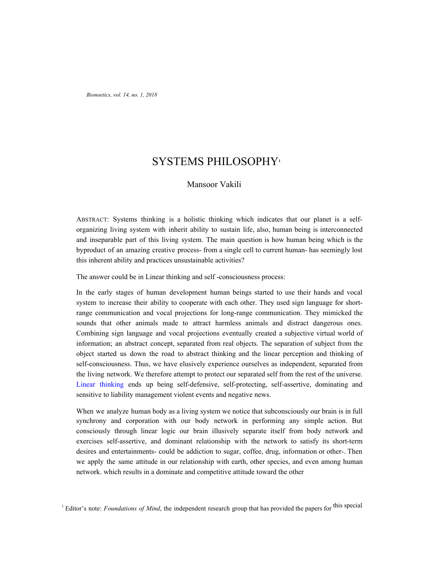*Bionoetics, vol. 14, no. 1, 2018*

# SYSTEMS PHILOSOPHY**<sup>1</sup>**

## Mansoor Vakili

ABSTRACT: Systems thinking is a holistic thinking which indicates that our planet is a selforganizing living system with inherit ability to sustain life, also, human being is interconnected and inseparable part of this living system. The main question is how human being which is the byproduct of an amazing creative process- from a single cell to current human- has seemingly lost this inherent ability and practices unsustainable activities?

The answer could be in Linear thinking and self -consciousness process:

In the early stages of human development human beings started to use their hands and vocal system to increase their ability to cooperate with each other. They used sign language for shortrange communication and vocal projections for long-range communication. They mimicked the sounds that other animals made to attract harmless animals and distract dangerous ones. Combining sign language and vocal projections eventually created a subjective virtual world of information; an abstract concept, separated from real objects. The separation of subject from the object started us down the road to abstract thinking and the linear perception and thinking of self-consciousness. Thus, we have elusively experience ourselves as independent, separated from the living network. We therefore attempt to protect our separated self from the rest of the universe. Linear thinking ends up being self-defensive, self-protecting, self-assertive, dominating and sensitive to liability management violent events and negative news.

When we analyze human body as a living system we notice that subconsciously our brain is in full synchrony and corporation with our body network in performing any simple action. But consciously through linear logic our brain illusively separate itself from body network and exercises self-assertive, and dominant relationship with the network to satisfy its short-term desires and entertainments- could be addiction to sugar, coffee, drug, information or other-. Then we apply the same attitude in our relationship with earth, other species, and even among human network. which results in a dominate and competitive attitude toward the other

<sup>&</sup>lt;sup>1</sup> Editor's note: *Foundations of Mind*, the independent research group that has provided the papers for this special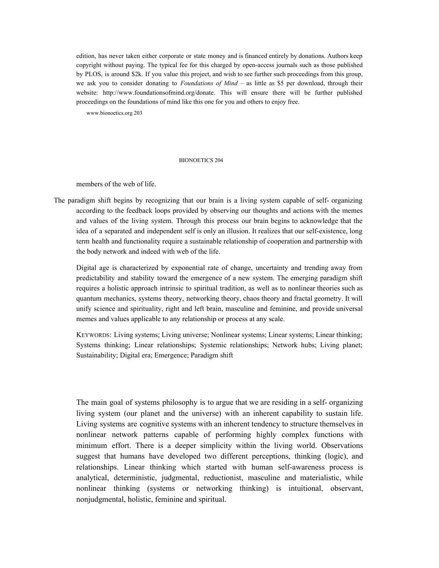edition, has never taken either corporate or state money and is financed entirely by donations. Authors keep copyright without paying. The typical fee for this charged by open-access journals such as those published by PLOS, is around \$2k. If you value this project, and wish to see further such proceedings from this group, we ask you to consider donating to *Foundations of Mind* – as little as \$5 per download, through their website: http://www.foundationsofmind.org/donate. This will ensure there will be further published proceedings on the foundations of mind like this one for you and others to enjoy free.

www.bionoetics.org 203

#### BIONOETICS 204

members of the web of life.

The paradigm shift begins by recognizing that our brain is a living system capable of self- organizing according to the feedback loops provided by observing our thoughts and actions with the memes and values of the living system. Through this process our brain begins to acknowledge that the idea of a separated and independent self is only an illusion. It realizes that our self-existence, long term health and functionality require a sustainable relationship of cooperation and partnership with the body network and indeed with web of the life.

Digital age is characterized by exponential rate of change, uncertainty and trending away from predictability and stability toward the emergence of a new system. The emerging paradigm shift requires a holistic approach intrinsic to spiritual tradition, as well as to nonlinear theories such as quantum mechanics, systems theory, networking theory, chaos theory and fractal geometry. It will unify science and spirituality, right and left brain, masculine and feminine, and provide universal memes and values applicable to any relationship or process at any scale.

KEYWORDS: Living systems; Living universe; Nonlinear systems; Linear systems; Linear thinking; Systems thinking; Linear relationships; Systemic relationships; Network hubs; Living planet; Sustainability; Digital era; Emergence; Paradigm shift

The main goal of systems philosophy is to argue that we are residing in a self- organizing living system (our planet and the universe) with an inherent capability to sustain life. Living systems are cognitive systems with an inherent tendency to structure themselves in nonlinear network patterns capable of performing highly complex functions with minimum effort. There is a deeper simplicity within the living world. Observations suggest that humans have developed two different perceptions, thinking (logic), and relationships. Linear thinking which started with human self-awareness process is analytical, deterministic, judgmental, reductionist, masculine and materialistic, while nonlinear thinking (systems or networking thinking) is intuitional, observant, nonjudgmental, holistic, feminine and spiritual.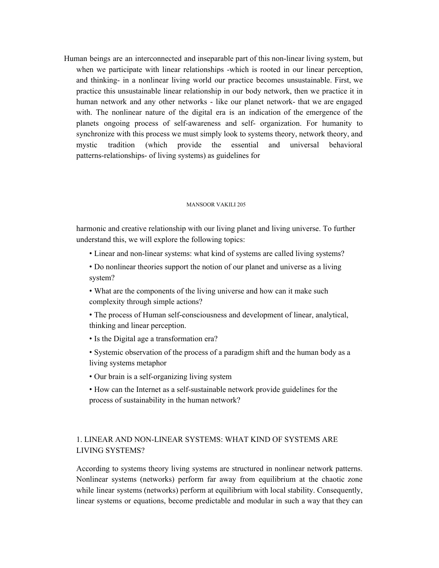Human beings are an interconnected and inseparable part of this non-linear living system, but when we participate with linear relationships -which is rooted in our linear perception, and thinking- in a nonlinear living world our practice becomes unsustainable. First, we practice this unsustainable linear relationship in our body network, then we practice it in human network and any other networks - like our planet network- that we are engaged with. The nonlinear nature of the digital era is an indication of the emergence of the planets ongoing process of self-awareness and self- organization. For humanity to synchronize with this process we must simply look to systems theory, network theory, and mystic tradition (which provide the essential and universal behavioral patterns-relationships- of living systems) as guidelines for

#### MANSOOR VAKILI 205

harmonic and creative relationship with our living planet and living universe. To further understand this, we will explore the following topics:

• Linear and non-linear systems: what kind of systems are called living systems?

• Do nonlinear theories support the notion of our planet and universe as a living system?

- What are the components of the living universe and how can it make such complexity through simple actions?
- The process of Human self-consciousness and development of linear, analytical, thinking and linear perception.
- Is the Digital age a transformation era?
- Systemic observation of the process of a paradigm shift and the human body as a living systems metaphor
- Our brain is a self-organizing living system
- How can the Internet as a self-sustainable network provide guidelines for the process of sustainability in the human network?

## 1. LINEAR AND NON-LINEAR SYSTEMS: WHAT KIND OF SYSTEMS ARE LIVING SYSTEMS?

According to systems theory living systems are structured in nonlinear network patterns. Nonlinear systems (networks) perform far away from equilibrium at the chaotic zone while linear systems (networks) perform at equilibrium with local stability. Consequently, linear systems or equations, become predictable and modular in such a way that they can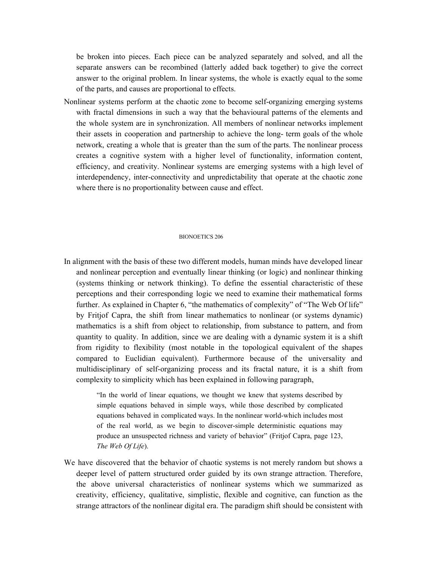be broken into pieces. Each piece can be analyzed separately and solved, and all the separate answers can be recombined (latterly added back together) to give the correct answer to the original problem. In linear systems, the whole is exactly equal to the some of the parts, and causes are proportional to effects.

Nonlinear systems perform at the chaotic zone to become self-organizing emerging systems with fractal dimensions in such a way that the behavioural patterns of the elements and the whole system are in synchronization. All members of nonlinear networks implement their assets in cooperation and partnership to achieve the long- term goals of the whole network, creating a whole that is greater than the sum of the parts. The nonlinear process creates a cognitive system with a higher level of functionality, information content, efficiency, and creativity. Nonlinear systems are emerging systems with a high level of interdependency, inter-connectivity and unpredictability that operate at the chaotic zone where there is no proportionality between cause and effect.

### BIONOETICS 206

In alignment with the basis of these two different models, human minds have developed linear and nonlinear perception and eventually linear thinking (or logic) and nonlinear thinking (systems thinking or network thinking). To define the essential characteristic of these perceptions and their corresponding logic we need to examine their mathematical forms further. As explained in Chapter 6, "the mathematics of complexity" of "The Web Of life" by Fritjof Capra, the shift from linear mathematics to nonlinear (or systems dynamic) mathematics is a shift from object to relationship, from substance to pattern, and from quantity to quality. In addition, since we are dealing with a dynamic system it is a shift from rigidity to flexibility (most notable in the topological equivalent of the shapes compared to Euclidian equivalent). Furthermore because of the universality and multidisciplinary of self-organizing process and its fractal nature, it is a shift from complexity to simplicity which has been explained in following paragraph,

> "In the world of linear equations, we thought we knew that systems described by simple equations behaved in simple ways, while those described by complicated equations behaved in complicated ways. In the nonlinear world-which includes most of the real world, as we begin to discover-simple deterministic equations may produce an unsuspected richness and variety of behavior" (Fritjof Capra, page 123, *The Web Of Life*).

We have discovered that the behavior of chaotic systems is not merely random but shows a deeper level of pattern structured order guided by its own strange attraction. Therefore, the above universal characteristics of nonlinear systems which we summarized as creativity, efficiency, qualitative, simplistic, flexible and cognitive, can function as the strange attractors of the nonlinear digital era. The paradigm shift should be consistent with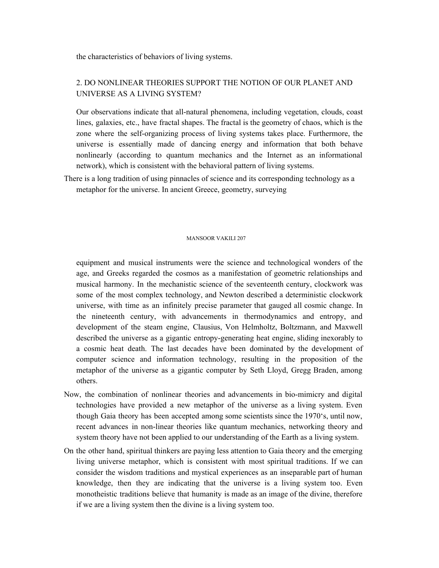the characteristics of behaviors of living systems.

# 2. DO NONLINEAR THEORIES SUPPORT THE NOTION OF OUR PLANET AND UNIVERSE AS A LIVING SYSTEM?

Our observations indicate that all-natural phenomena, including vegetation, clouds, coast lines, galaxies, etc., have fractal shapes. The fractal is the geometry of chaos, which is the zone where the self-organizing process of living systems takes place. Furthermore, the universe is essentially made of dancing energy and information that both behave nonlinearly (according to quantum mechanics and the Internet as an informational network), which is consistent with the behavioral pattern of living systems.

There is a long tradition of using pinnacles of science and its corresponding technology as a metaphor for the universe. In ancient Greece, geometry, surveying

#### MANSOOR VAKILI 207

equipment and musical instruments were the science and technological wonders of the age, and Greeks regarded the cosmos as a manifestation of geometric relationships and musical harmony. In the mechanistic science of the seventeenth century, clockwork was some of the most complex technology, and Newton described a deterministic clockwork universe, with time as an infinitely precise parameter that gauged all cosmic change. In the nineteenth century, with advancements in thermodynamics and entropy, and development of the steam engine, Clausius, Von Helmholtz, Boltzmann, and Maxwell described the universe as a gigantic entropy-generating heat engine, sliding inexorably to a cosmic heat death. The last decades have been dominated by the development of computer science and information technology, resulting in the proposition of the metaphor of the universe as a gigantic computer by Seth Lloyd, Gregg Braden, among others.

- Now, the combination of nonlinear theories and advancements in bio-mimicry and digital technologies have provided a new metaphor of the universe as a living system. Even though Gaia theory has been accepted among some scientists since the 1970's, until now, recent advances in non-linear theories like quantum mechanics, networking theory and system theory have not been applied to our understanding of the Earth as a living system.
- On the other hand, spiritual thinkers are paying less attention to Gaia theory and the emerging living universe metaphor, which is consistent with most spiritual traditions. If we can consider the wisdom traditions and mystical experiences as an inseparable part of human knowledge, then they are indicating that the universe is a living system too. Even monotheistic traditions believe that humanity is made as an image of the divine, therefore if we are a living system then the divine is a living system too.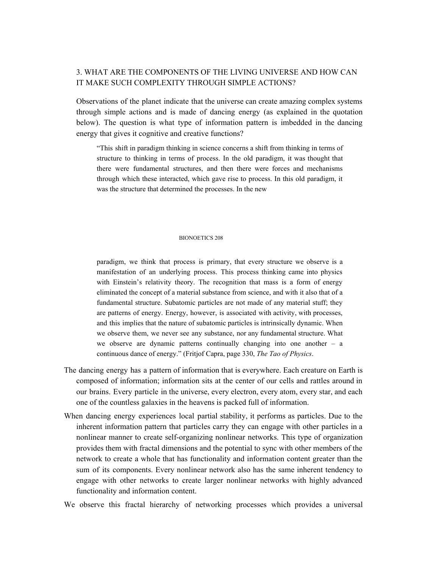## 3. WHAT ARE THE COMPONENTS OF THE LIVING UNIVERSE AND HOW CAN IT MAKE SUCH COMPLEXITY THROUGH SIMPLE ACTIONS?

Observations of the planet indicate that the universe can create amazing complex systems through simple actions and is made of dancing energy (as explained in the quotation below). The question is what type of information pattern is imbedded in the dancing energy that gives it cognitive and creative functions?

"This shift in paradigm thinking in science concerns a shift from thinking in terms of structure to thinking in terms of process. In the old paradigm, it was thought that there were fundamental structures, and then there were forces and mechanisms through which these interacted, which gave rise to process. In this old paradigm, it was the structure that determined the processes. In the new

### BIONOETICS 208

paradigm, we think that process is primary, that every structure we observe is a manifestation of an underlying process. This process thinking came into physics with Einstein's relativity theory. The recognition that mass is a form of energy eliminated the concept of a material substance from science, and with it also that of a fundamental structure. Subatomic particles are not made of any material stuff; they are patterns of energy. Energy, however, is associated with activity, with processes, and this implies that the nature of subatomic particles is intrinsically dynamic. When we observe them, we never see any substance, nor any fundamental structure. What we observe are dynamic patterns continually changing into one another – a continuous dance of energy." (Fritjof Capra, page 330, *The Tao of Physics*.

- The dancing energy has a pattern of information that is everywhere. Each creature on Earth is composed of information; information sits at the center of our cells and rattles around in our brains. Every particle in the universe, every electron, every atom, every star, and each one of the countless galaxies in the heavens is packed full of information.
- When dancing energy experiences local partial stability, it performs as particles. Due to the inherent information pattern that particles carry they can engage with other particles in a nonlinear manner to create self-organizing nonlinear networks. This type of organization provides them with fractal dimensions and the potential to sync with other members of the network to create a whole that has functionality and information content greater than the sum of its components. Every nonlinear network also has the same inherent tendency to engage with other networks to create larger nonlinear networks with highly advanced functionality and information content.
- We observe this fractal hierarchy of networking processes which provides a universal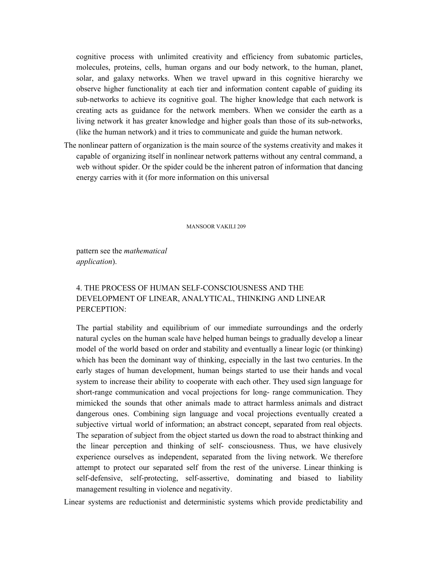cognitive process with unlimited creativity and efficiency from subatomic particles, molecules, proteins, cells, human organs and our body network, to the human, planet, solar, and galaxy networks. When we travel upward in this cognitive hierarchy we observe higher functionality at each tier and information content capable of guiding its sub-networks to achieve its cognitive goal. The higher knowledge that each network is creating acts as guidance for the network members. When we consider the earth as a living network it has greater knowledge and higher goals than those of its sub-networks, (like the human network) and it tries to communicate and guide the human network.

The nonlinear pattern of organization is the main source of the systems creativity and makes it capable of organizing itself in nonlinear network patterns without any central command, a web without spider. Or the spider could be the inherent patron of information that dancing energy carries with it (for more information on this universal

MANSOOR VAKILI 209

pattern see the *mathematical application*).

# 4. THE PROCESS OF HUMAN SELF-CONSCIOUSNESS AND THE DEVELOPMENT OF LINEAR, ANALYTICAL, THINKING AND LINEAR PERCEPTION:

The partial stability and equilibrium of our immediate surroundings and the orderly natural cycles on the human scale have helped human beings to gradually develop a linear model of the world based on order and stability and eventually a linear logic (or thinking) which has been the dominant way of thinking, especially in the last two centuries. In the early stages of human development, human beings started to use their hands and vocal system to increase their ability to cooperate with each other. They used sign language for short-range communication and vocal projections for long- range communication. They mimicked the sounds that other animals made to attract harmless animals and distract dangerous ones. Combining sign language and vocal projections eventually created a subjective virtual world of information; an abstract concept, separated from real objects. The separation of subject from the object started us down the road to abstract thinking and the linear perception and thinking of self- consciousness. Thus, we have elusively experience ourselves as independent, separated from the living network. We therefore attempt to protect our separated self from the rest of the universe. Linear thinking is self-defensive, self-protecting, self-assertive, dominating and biased to liability management resulting in violence and negativity.

Linear systems are reductionist and deterministic systems which provide predictability and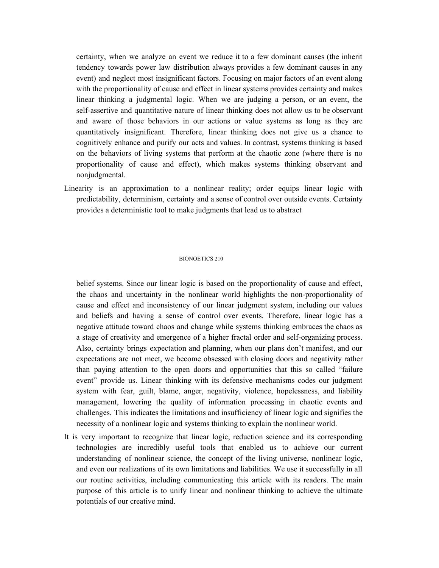certainty, when we analyze an event we reduce it to a few dominant causes (the inherit tendency towards power law distribution always provides a few dominant causes in any event) and neglect most insignificant factors. Focusing on major factors of an event along with the proportionality of cause and effect in linear systems provides certainty and makes linear thinking a judgmental logic. When we are judging a person, or an event, the self-assertive and quantitative nature of linear thinking does not allow us to be observant and aware of those behaviors in our actions or value systems as long as they are quantitatively insignificant. Therefore, linear thinking does not give us a chance to cognitively enhance and purify our acts and values. In contrast, systems thinking is based on the behaviors of living systems that perform at the chaotic zone (where there is no proportionality of cause and effect), which makes systems thinking observant and nonjudgmental.

Linearity is an approximation to a nonlinear reality; order equips linear logic with predictability, determinism, certainty and a sense of control over outside events. Certainty provides a deterministic tool to make judgments that lead us to abstract

#### BIONOETICS 210

belief systems. Since our linear logic is based on the proportionality of cause and effect, the chaos and uncertainty in the nonlinear world highlights the non-proportionality of cause and effect and inconsistency of our linear judgment system, including our values and beliefs and having a sense of control over events. Therefore, linear logic has a negative attitude toward chaos and change while systems thinking embraces the chaos as a stage of creativity and emergence of a higher fractal order and self-organizing process. Also, certainty brings expectation and planning, when our plans don't manifest, and our expectations are not meet, we become obsessed with closing doors and negativity rather than paying attention to the open doors and opportunities that this so called "failure event" provide us. Linear thinking with its defensive mechanisms codes our judgment system with fear, guilt, blame, anger, negativity, violence, hopelessness, and liability management, lowering the quality of information processing in chaotic events and challenges. This indicates the limitations and insufficiency of linear logic and signifies the necessity of a nonlinear logic and systems thinking to explain the nonlinear world.

It is very important to recognize that linear logic, reduction science and its corresponding technologies are incredibly useful tools that enabled us to achieve our current understanding of nonlinear science, the concept of the living universe, nonlinear logic, and even our realizations of its own limitations and liabilities. We use it successfully in all our routine activities, including communicating this article with its readers. The main purpose of this article is to unify linear and nonlinear thinking to achieve the ultimate potentials of our creative mind.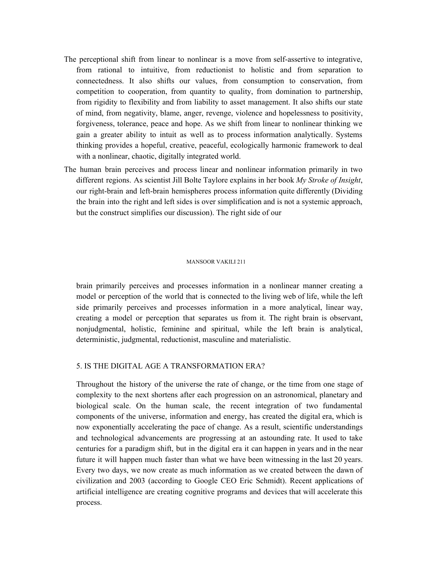- The perceptional shift from linear to nonlinear is a move from self-assertive to integrative, from rational to intuitive, from reductionist to holistic and from separation to connectedness. It also shifts our values, from consumption to conservation, from competition to cooperation, from quantity to quality, from domination to partnership, from rigidity to flexibility and from liability to asset management. It also shifts our state of mind, from negativity, blame, anger, revenge, violence and hopelessness to positivity, forgiveness, tolerance, peace and hope. As we shift from linear to nonlinear thinking we gain a greater ability to intuit as well as to process information analytically. Systems thinking provides a hopeful, creative, peaceful, ecologically harmonic framework to deal with a nonlinear, chaotic, digitally integrated world.
- The human brain perceives and process linear and nonlinear information primarily in two different regions. As scientist Jill Bolte Taylore explains in her book *My Stroke of Insight*, our right-brain and left-brain hemispheres process information quite differently (Dividing the brain into the right and left sides is over simplification and is not a systemic approach, but the construct simplifies our discussion). The right side of our

### MANSOOR VAKILI 211

brain primarily perceives and processes information in a nonlinear manner creating a model or perception of the world that is connected to the living web of life, while the left side primarily perceives and processes information in a more analytical, linear way, creating a model or perception that separates us from it. The right brain is observant, nonjudgmental, holistic, feminine and spiritual, while the left brain is analytical, deterministic, judgmental, reductionist, masculine and materialistic.

## 5. IS THE DIGITAL AGE A TRANSFORMATION ERA?

Throughout the history of the universe the rate of change, or the time from one stage of complexity to the next shortens after each progression on an astronomical, planetary and biological scale. On the human scale, the recent integration of two fundamental components of the universe, information and energy, has created the digital era, which is now exponentially accelerating the pace of change. As a result, scientific understandings and technological advancements are progressing at an astounding rate. It used to take centuries for a paradigm shift, but in the digital era it can happen in years and in the near future it will happen much faster than what we have been witnessing in the last 20 years. Every two days, we now create as much information as we created between the dawn of civilization and 2003 (according to Google CEO Eric Schmidt). Recent applications of artificial intelligence are creating cognitive programs and devices that will accelerate this process.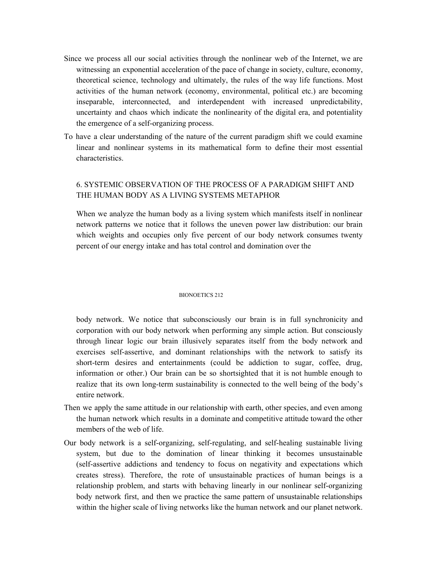- Since we process all our social activities through the nonlinear web of the Internet, we are witnessing an exponential acceleration of the pace of change in society, culture, economy, theoretical science, technology and ultimately, the rules of the way life functions. Most activities of the human network (economy, environmental, political etc.) are becoming inseparable, interconnected, and interdependent with increased unpredictability, uncertainty and chaos which indicate the nonlinearity of the digital era, and potentiality the emergence of a self-organizing process.
- To have a clear understanding of the nature of the current paradigm shift we could examine linear and nonlinear systems in its mathematical form to define their most essential characteristics.

## 6. SYSTEMIC OBSERVATION OF THE PROCESS OF A PARADIGM SHIFT AND THE HUMAN BODY AS A LIVING SYSTEMS METAPHOR

When we analyze the human body as a living system which manifests itself in nonlinear network patterns we notice that it follows the uneven power law distribution: our brain which weights and occupies only five percent of our body network consumes twenty percent of our energy intake and has total control and domination over the

### BIONOETICS 212

body network. We notice that subconsciously our brain is in full synchronicity and corporation with our body network when performing any simple action. But consciously through linear logic our brain illusively separates itself from the body network and exercises self-assertive, and dominant relationships with the network to satisfy its short-term desires and entertainments (could be addiction to sugar, coffee, drug, information or other.) Our brain can be so shortsighted that it is not humble enough to realize that its own long-term sustainability is connected to the well being of the body's entire network.

- Then we apply the same attitude in our relationship with earth, other species, and even among the human network which results in a dominate and competitive attitude toward the other members of the web of life.
- Our body network is a self-organizing, self-regulating, and self-healing sustainable living system, but due to the domination of linear thinking it becomes unsustainable (self-assertive addictions and tendency to focus on negativity and expectations which creates stress). Therefore, the rote of unsustainable practices of human beings is a relationship problem, and starts with behaving linearly in our nonlinear self-organizing body network first, and then we practice the same pattern of unsustainable relationships within the higher scale of living networks like the human network and our planet network.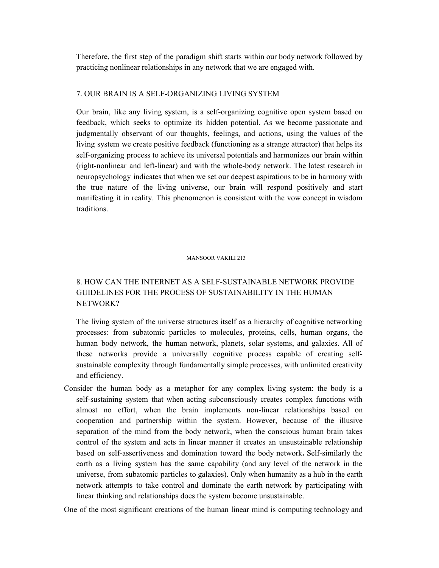Therefore, the first step of the paradigm shift starts within our body network followed by practicing nonlinear relationships in any network that we are engaged with.

## 7. OUR BRAIN IS A SELF-ORGANIZING LIVING SYSTEM

Our brain, like any living system, is a self-organizing cognitive open system based on feedback, which seeks to optimize its hidden potential. As we become passionate and judgmentally observant of our thoughts, feelings, and actions, using the values of the living system we create positive feedback (functioning as a strange attractor) that helps its self-organizing process to achieve its universal potentials and harmonizes our brain within (right-nonlinear and left-linear) and with the whole-body network. The latest research in neuropsychology indicates that when we set our deepest aspirations to be in harmony with the true nature of the living universe, our brain will respond positively and start manifesting it in reality. This phenomenon is consistent with the vow concept in wisdom traditions.

### MANSOOR VAKILI 213

# 8. HOW CAN THE INTERNET AS A SELF-SUSTAINABLE NETWORK PROVIDE GUIDELINES FOR THE PROCESS OF SUSTAINABILITY IN THE HUMAN NETWORK?

The living system of the universe structures itself as a hierarchy of cognitive networking processes: from subatomic particles to molecules, proteins, cells, human organs, the human body network, the human network, planets, solar systems, and galaxies. All of these networks provide a universally cognitive process capable of creating selfsustainable complexity through fundamentally simple processes, with unlimited creativity and efficiency.

Consider the human body as a metaphor for any complex living system: the body is a self-sustaining system that when acting subconsciously creates complex functions with almost no effort, when the brain implements non-linear relationships based on cooperation and partnership within the system. However, because of the illusive separation of the mind from the body network, when the conscious human brain takes control of the system and acts in linear manner it creates an unsustainable relationship based on self-assertiveness and domination toward the body network**.** Self-similarly the earth as a living system has the same capability (and any level of the network in the universe, from subatomic particles to galaxies). Only when humanity as a hub in the earth network attempts to take control and dominate the earth network by participating with linear thinking and relationships does the system become unsustainable.

One of the most significant creations of the human linear mind is computing technology and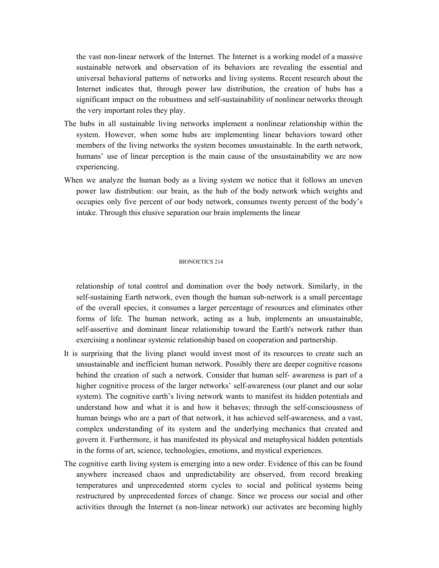the vast non-linear network of the Internet. The Internet is a working model of a massive sustainable network and observation of its behaviors are revealing the essential and universal behavioral patterns of networks and living systems. Recent research about the Internet indicates that, through power law distribution, the creation of hubs has a significant impact on the robustness and self-sustainability of nonlinear networks through the very important roles they play.

- The hubs in all sustainable living networks implement a nonlinear relationship within the system. However, when some hubs are implementing linear behaviors toward other members of the living networks the system becomes unsustainable. In the earth network, humans' use of linear perception is the main cause of the unsustainability we are now experiencing.
- When we analyze the human body as a living system we notice that it follows an uneven power law distribution: our brain, as the hub of the body network which weights and occupies only five percent of our body network, consumes twenty percent of the body's intake. Through this elusive separation our brain implements the linear

### BIONOETICS 214

relationship of total control and domination over the body network. Similarly, in the self-sustaining Earth network, even though the human sub-network is a small percentage of the overall species, it consumes a larger percentage of resources and eliminates other forms of life. The human network, acting as a hub, implements an unsustainable, self-assertive and dominant linear relationship toward the Earth's network rather than exercising a nonlinear systemic relationship based on cooperation and partnership.

- It is surprising that the living planet would invest most of its resources to create such an unsustainable and inefficient human network. Possibly there are deeper cognitive reasons behind the creation of such a network. Consider that human self- awareness is part of a higher cognitive process of the larger networks' self-awareness (our planet and our solar system). The cognitive earth's living network wants to manifest its hidden potentials and understand how and what it is and how it behaves; through the self-consciousness of human beings who are a part of that network, it has achieved self-awareness, and a vast, complex understanding of its system and the underlying mechanics that created and govern it. Furthermore, it has manifested its physical and metaphysical hidden potentials in the forms of art, science, technologies, emotions, and mystical experiences.
- The cognitive earth living system is emerging into a new order. Evidence of this can be found anywhere increased chaos and unpredictability are observed, from record breaking temperatures and unprecedented storm cycles to social and political systems being restructured by unprecedented forces of change. Since we process our social and other activities through the Internet (a non-linear network) our activates are becoming highly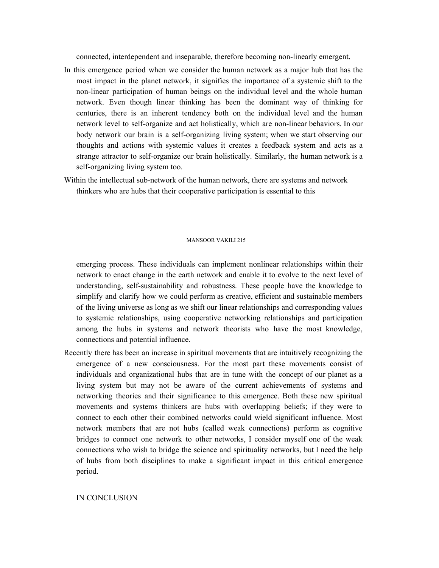connected, interdependent and inseparable, therefore becoming non-linearly emergent.

- In this emergence period when we consider the human network as a major hub that has the most impact in the planet network, it signifies the importance of a systemic shift to the non-linear participation of human beings on the individual level and the whole human network. Even though linear thinking has been the dominant way of thinking for centuries, there is an inherent tendency both on the individual level and the human network level to self-organize and act holistically, which are non-linear behaviors. In our body network our brain is a self-organizing living system; when we start observing our thoughts and actions with systemic values it creates a feedback system and acts as a strange attractor to self-organize our brain holistically. Similarly, the human network is a self-organizing living system too.
- Within the intellectual sub-network of the human network, there are systems and network thinkers who are hubs that their cooperative participation is essential to this

#### MANSOOR VAKILI 215

emerging process. These individuals can implement nonlinear relationships within their network to enact change in the earth network and enable it to evolve to the next level of understanding, self-sustainability and robustness. These people have the knowledge to simplify and clarify how we could perform as creative, efficient and sustainable members of the living universe as long as we shift our linear relationships and corresponding values to systemic relationships, using cooperative networking relationships and participation among the hubs in systems and network theorists who have the most knowledge, connections and potential influence.

Recently there has been an increase in spiritual movements that are intuitively recognizing the emergence of a new consciousness. For the most part these movements consist of individuals and organizational hubs that are in tune with the concept of our planet as a living system but may not be aware of the current achievements of systems and networking theories and their significance to this emergence. Both these new spiritual movements and systems thinkers are hubs with overlapping beliefs; if they were to connect to each other their combined networks could wield significant influence. Most network members that are not hubs (called weak connections) perform as cognitive bridges to connect one network to other networks, I consider myself one of the weak connections who wish to bridge the science and spirituality networks, but I need the help of hubs from both disciplines to make a significant impact in this critical emergence period.

IN CONCLUSION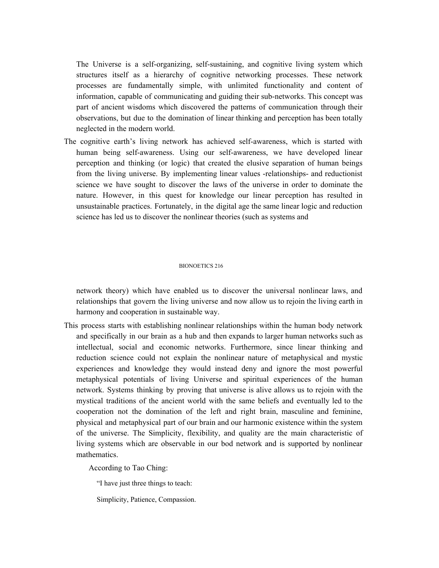The Universe is a self-organizing, self-sustaining, and cognitive living system which structures itself as a hierarchy of cognitive networking processes. These network processes are fundamentally simple, with unlimited functionality and content of information, capable of communicating and guiding their sub-networks. This concept was part of ancient wisdoms which discovered the patterns of communication through their observations, but due to the domination of linear thinking and perception has been totally neglected in the modern world.

The cognitive earth's living network has achieved self-awareness, which is started with human being self-awareness. Using our self-awareness, we have developed linear perception and thinking (or logic) that created the elusive separation of human beings from the living universe. By implementing linear values -relationships- and reductionist science we have sought to discover the laws of the universe in order to dominate the nature. However, in this quest for knowledge our linear perception has resulted in unsustainable practices. Fortunately, in the digital age the same linear logic and reduction science has led us to discover the nonlinear theories (such as systems and

#### BIONOETICS 216

network theory) which have enabled us to discover the universal nonlinear laws, and relationships that govern the living universe and now allow us to rejoin the living earth in harmony and cooperation in sustainable way.

This process starts with establishing nonlinear relationships within the human body network and specifically in our brain as a hub and then expands to larger human networks such as intellectual, social and economic networks. Furthermore, since linear thinking and reduction science could not explain the nonlinear nature of metaphysical and mystic experiences and knowledge they would instead deny and ignore the most powerful metaphysical potentials of living Universe and spiritual experiences of the human network. Systems thinking by proving that universe is alive allows us to rejoin with the mystical traditions of the ancient world with the same beliefs and eventually led to the cooperation not the domination of the left and right brain, masculine and feminine, physical and metaphysical part of our brain and our harmonic existence within the system of the universe. The Simplicity, flexibility, and quality are the main characteristic of living systems which are observable in our bod network and is supported by nonlinear mathematics.

According to Tao Ching:

"I have just three things to teach:

Simplicity, Patience, Compassion.